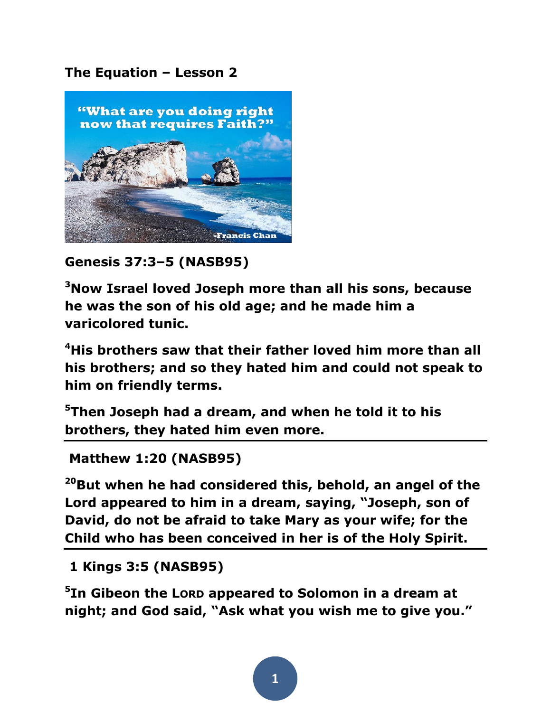## **The Equation – Lesson 2**



**Genesis 37:3–5 (NASB95)** 

**<sup>3</sup>Now Israel loved Joseph more than all his sons, because he was the son of his old age; and he made him a varicolored tunic.** 

**<sup>4</sup>His brothers saw that their father loved him more than all his brothers; and so they hated him and could not speak to him on friendly terms.** 

**<sup>5</sup>Then Joseph had a dream, and when he told it to his brothers, they hated him even more.**

```
Matthew 1:20 (NASB95)
```
**<sup>20</sup>But when he had considered this, behold, an angel of the Lord appeared to him in a dream, saying, "Joseph, son of David, do not be afraid to take Mary as your wife; for the Child who has been conceived in her is of the Holy Spirit.**

**1 Kings 3:5 (NASB95)** 

**5 In Gibeon the LORD appeared to Solomon in a dream at night; and God said, "Ask what you wish me to give you."** 

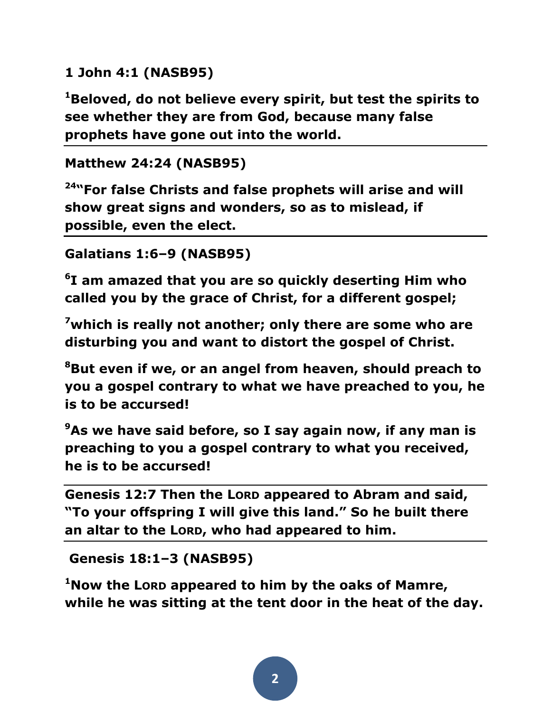## **1 John 4:1 (NASB95)**

**<sup>1</sup>Beloved, do not believe every spirit, but test the spirits to see whether they are from God, because many false prophets have gone out into the world.** 

## **Matthew 24:24 (NASB95)**

**<sup>24</sup>"For false Christs and false prophets will arise and will show great signs and wonders, so as to mislead, if possible, even the elect.** 

```
Galatians 1:6–9 (NASB95)
```
**6 I am amazed that you are so quickly deserting Him who called you by the grace of Christ, for a different gospel;** 

**<sup>7</sup>which is really not another; only there are some who are disturbing you and want to distort the gospel of Christ.** 

**<sup>8</sup>But even if we, or an angel from heaven, should preach to you a gospel contrary to what we have preached to you, he is to be accursed!** 

**<sup>9</sup>As we have said before, so I say again now, if any man is preaching to you a gospel contrary to what you received, he is to be accursed!** 

**Genesis 12:7 Then the LORD appeared to Abram and said, "To your offspring I will give this land." So he built there an altar to the LORD, who had appeared to him.**

```
Genesis 18:1–3 (NASB95)
```
**<sup>1</sup>Now the LORD appeared to him by the oaks of Mamre, while he was sitting at the tent door in the heat of the day.**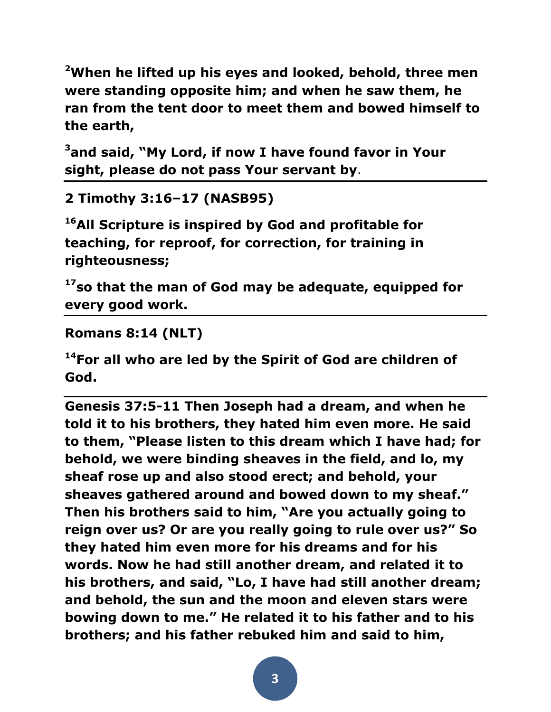**<sup>2</sup>When he lifted up his eyes and looked, behold, three men were standing opposite him; and when he saw them, he ran from the tent door to meet them and bowed himself to the earth,** 

**<sup>3</sup>and said, "My Lord, if now I have found favor in Your sight, please do not pass Your servant by**.

**2 Timothy 3:16–17 (NASB95)** 

**<sup>16</sup>All Scripture is inspired by God and profitable for teaching, for reproof, for correction, for training in righteousness;** 

**<sup>17</sup>so that the man of God may be adequate, equipped for every good work.** 

**Romans 8:14 (NLT)** 

**<sup>14</sup>For all who are led by the Spirit of God are children of God.** 

**Genesis 37:5-11 Then Joseph had a dream, and when he told it to his brothers, they hated him even more. He said to them, "Please listen to this dream which I have had; for behold, we were binding sheaves in the field, and lo, my sheaf rose up and also stood erect; and behold, your sheaves gathered around and bowed down to my sheaf." Then his brothers said to him, "Are you actually going to reign over us? Or are you really going to rule over us?" So they hated him even more for his dreams and for his words. Now he had still another dream, and related it to his brothers, and said, "Lo, I have had still another dream; and behold, the sun and the moon and eleven stars were bowing down to me." He related it to his father and to his brothers; and his father rebuked him and said to him,**